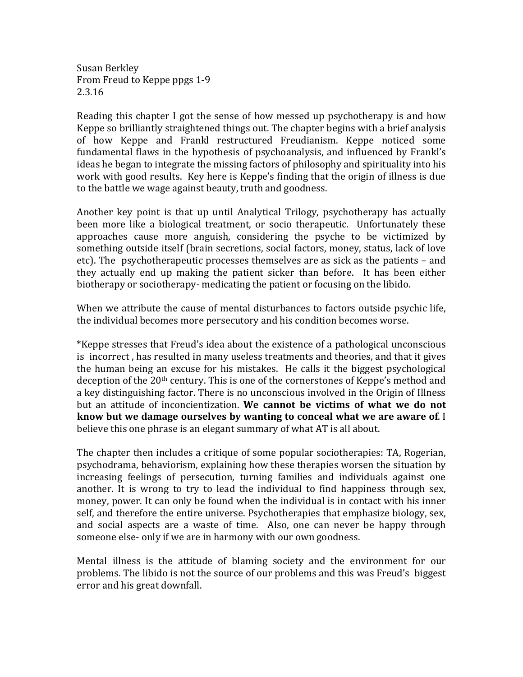Susan Berklev From Freud to Keppe ppgs 1-9 2.3.16

Reading this chapter I got the sense of how messed up psychotherapy is and how Keppe so brilliantly straightened things out. The chapter begins with a brief analysis of how Keppe and Frankl restructured Freudianism. Keppe noticed some fundamental flaws in the hypothesis of psychoanalysis, and influenced by Frankl's ideas he began to integrate the missing factors of philosophy and spirituality into his work with good results. Key here is Keppe's finding that the origin of illness is due to the battle we wage against beauty, truth and goodness.

Another key point is that up until Analytical Trilogy, psychotherapy has actually been more like a biological treatment, or socio therapeutic. Unfortunately these approaches cause more anguish, considering the psyche to be victimized by something outside itself (brain secretions, social factors, money, status, lack of love etc). The psychotherapeutic processes themselves are as sick as the patients – and they actually end up making the patient sicker than before. It has been either biotherapy or sociotherapy- medicating the patient or focusing on the libido.

When we attribute the cause of mental disturbances to factors outside psychic life, the individual becomes more persecutory and his condition becomes worse.

\*Keppe stresses that Freud's idea about the existence of a pathological unconscious is incorrect, has resulted in many useless treatments and theories, and that it gives the human being an excuse for his mistakes. He calls it the biggest psychological deception of the  $20<sup>th</sup>$  century. This is one of the cornerstones of Keppe's method and a key distinguishing factor. There is no unconscious involved in the Origin of Illness but an attitude of inconcientization. We cannot be victims of what we do not **know but we damage ourselves by wanting to conceal what we are aware of.** I believe this one phrase is an elegant summary of what AT is all about.

The chapter then includes a critique of some popular sociotherapies: TA, Rogerian, psychodrama, behaviorism, explaining how these therapies worsen the situation by increasing feelings of persecution, turning families and individuals against one another. It is wrong to try to lead the individual to find happiness through sex, money, power. It can only be found when the individual is in contact with his inner self, and therefore the entire universe. Psychotherapies that emphasize biology, sex, and social aspects are a waste of time. Also, one can never be happy through someone else- only if we are in harmony with our own goodness.

Mental illness is the attitude of blaming society and the environment for our problems. The libido is not the source of our problems and this was Freud's biggest error and his great downfall.